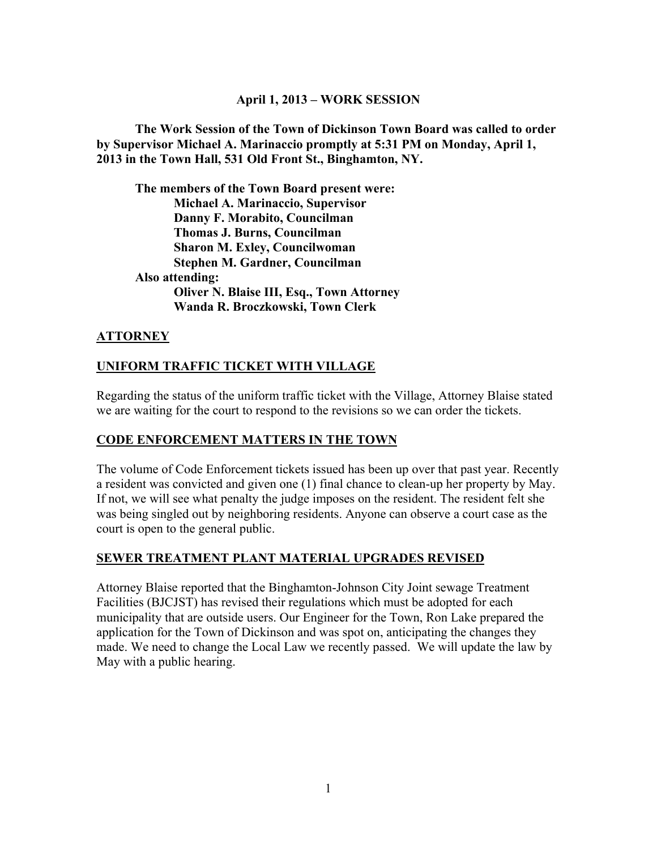#### **April 1, 2013 – WORK SESSION**

**The Work Session of the Town of Dickinson Town Board was called to order by Supervisor Michael A. Marinaccio promptly at 5:31 PM on Monday, April 1, 2013 in the Town Hall, 531 Old Front St., Binghamton, NY.** 

**The members of the Town Board present were: Michael A. Marinaccio, Supervisor Danny F. Morabito, Councilman Thomas J. Burns, Councilman Sharon M. Exley, Councilwoman Stephen M. Gardner, Councilman Also attending: Oliver N. Blaise III, Esq., Town Attorney Wanda R. Broczkowski, Town Clerk** 

## **ATTORNEY**

## **UNIFORM TRAFFIC TICKET WITH VILLAGE**

Regarding the status of the uniform traffic ticket with the Village, Attorney Blaise stated we are waiting for the court to respond to the revisions so we can order the tickets.

## **CODE ENFORCEMENT MATTERS IN THE TOWN**

The volume of Code Enforcement tickets issued has been up over that past year. Recently a resident was convicted and given one (1) final chance to clean-up her property by May. If not, we will see what penalty the judge imposes on the resident. The resident felt she was being singled out by neighboring residents. Anyone can observe a court case as the court is open to the general public.

## **SEWER TREATMENT PLANT MATERIAL UPGRADES REVISED**

Attorney Blaise reported that the Binghamton-Johnson City Joint sewage Treatment Facilities (BJCJST) has revised their regulations which must be adopted for each municipality that are outside users. Our Engineer for the Town, Ron Lake prepared the application for the Town of Dickinson and was spot on, anticipating the changes they made. We need to change the Local Law we recently passed. We will update the law by May with a public hearing.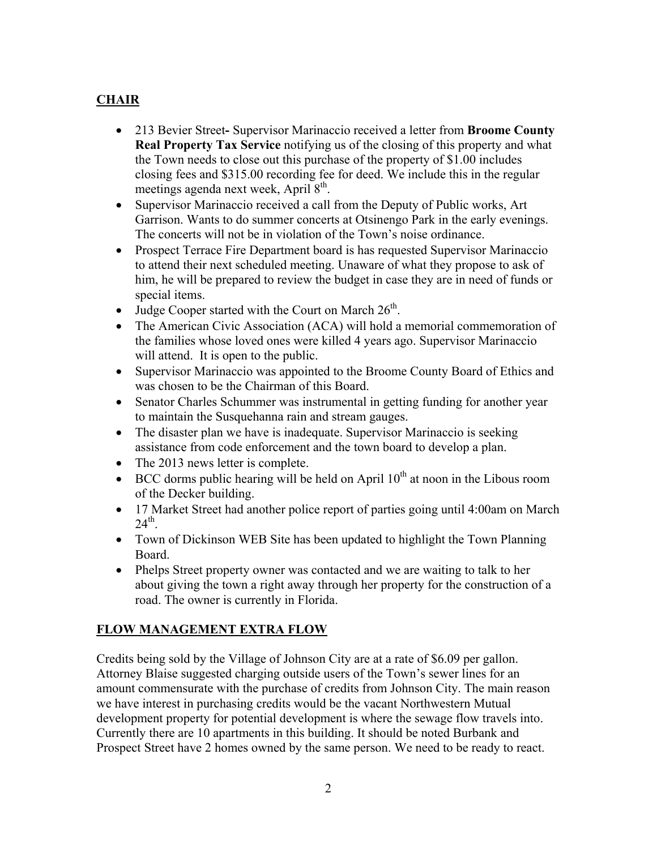# **CHAIR**

- 213 Bevier StreetSupervisor Marinaccio received a letter from **Broome County Real Property Tax Service** notifying us of the closing of this property and what the Town needs to close out this purchase of the property of \$1.00 includes closing fees and \$315.00 recording fee for deed. We include this in the regular meetings agenda next week, April  $8<sup>th</sup>$ .
- Supervisor Marinaccio received a call from the Deputy of Public works, Art Garrison. Wants to do summer concerts at Otsinengo Park in the early evenings. The concerts will not be in violation of the Town's noise ordinance.
- Prospect Terrace Fire Department board is has requested Supervisor Marinaccio to attend their next scheduled meeting. Unaware of what they propose to ask of him, he will be prepared to review the budget in case they are in need of funds or special items.
- Judge Cooper started with the Court on March  $26<sup>th</sup>$ .
- The American Civic Association (ACA) will hold a memorial commemoration of the families whose loved ones were killed 4 years ago. Supervisor Marinaccio will attend. It is open to the public.
- Supervisor Marinaccio was appointed to the Broome County Board of Ethics and was chosen to be the Chairman of this Board.
- Senator Charles Schummer was instrumental in getting funding for another year to maintain the Susquehanna rain and stream gauges.
- The disaster plan we have is inadequate. Supervisor Marinaccio is seeking assistance from code enforcement and the town board to develop a plan.
- The 2013 news letter is complete.
- $\bullet$  BCC dorms public hearing will be held on April 10<sup>th</sup> at noon in the Libous room of the Decker building.
- 17 Market Street had another police report of parties going until 4:00am on March  $24^{\text{th}}$ .
- Town of Dickinson WEB Site has been updated to highlight the Town Planning Board.
- Phelps Street property owner was contacted and we are waiting to talk to her about giving the town a right away through her property for the construction of a road. The owner is currently in Florida.

# **FLOW MANAGEMENT EXTRA FLOW**

Credits being sold by the Village of Johnson City are at a rate of \$6.09 per gallon. Attorney Blaise suggested charging outside users of the Town's sewer lines for an amount commensurate with the purchase of credits from Johnson City. The main reason we have interest in purchasing credits would be the vacant Northwestern Mutual development property for potential development is where the sewage flow travels into. Currently there are 10 apartments in this building. It should be noted Burbank and Prospect Street have 2 homes owned by the same person. We need to be ready to react.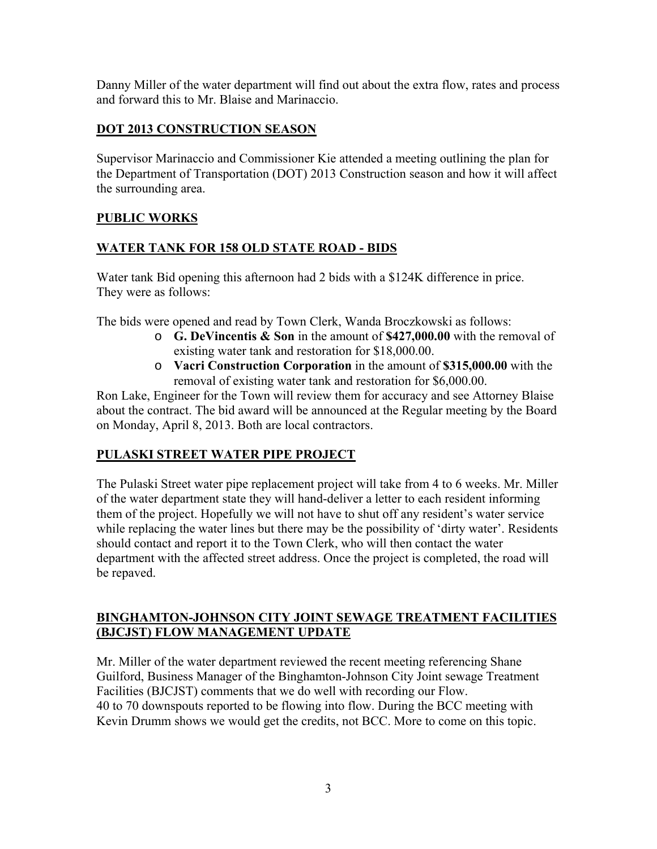Danny Miller of the water department will find out about the extra flow, rates and process and forward this to Mr. Blaise and Marinaccio.

## **DOT 2013 CONSTRUCTION SEASON**

Supervisor Marinaccio and Commissioner Kie attended a meeting outlining the plan for the Department of Transportation (DOT) 2013 Construction season and how it will affect the surrounding area.

## **PUBLIC WORKS**

## **WATER TANK FOR 158 OLD STATE ROAD - BIDS**

Water tank Bid opening this afternoon had 2 bids with a \$124K difference in price. They were as follows:

The bids were opened and read by Town Clerk, Wanda Broczkowski as follows:

- o **G. DeVincentis & Son** in the amount of **\$427,000.00** with the removal of existing water tank and restoration for \$18,000.00.
- o **Vacri Construction Corporation** in the amount of **\$315,000.00** with the removal of existing water tank and restoration for \$6,000.00.

Ron Lake, Engineer for the Town will review them for accuracy and see Attorney Blaise about the contract. The bid award will be announced at the Regular meeting by the Board on Monday, April 8, 2013. Both are local contractors.

## **PULASKI STREET WATER PIPE PROJECT**

The Pulaski Street water pipe replacement project will take from 4 to 6 weeks. Mr. Miller of the water department state they will hand-deliver a letter to each resident informing them of the project. Hopefully we will not have to shut off any resident's water service while replacing the water lines but there may be the possibility of 'dirty water'. Residents should contact and report it to the Town Clerk, who will then contact the water department with the affected street address. Once the project is completed, the road will be repaved.

## **BINGHAMTON-JOHNSON CITY JOINT SEWAGE TREATMENT FACILITIES (BJCJST) FLOW MANAGEMENT UPDATE**

Mr. Miller of the water department reviewed the recent meeting referencing Shane Guilford, Business Manager of the Binghamton-Johnson City Joint sewage Treatment Facilities (BJCJST) comments that we do well with recording our Flow. 40 to 70 downspouts reported to be flowing into flow. During the BCC meeting with Kevin Drumm shows we would get the credits, not BCC. More to come on this topic.